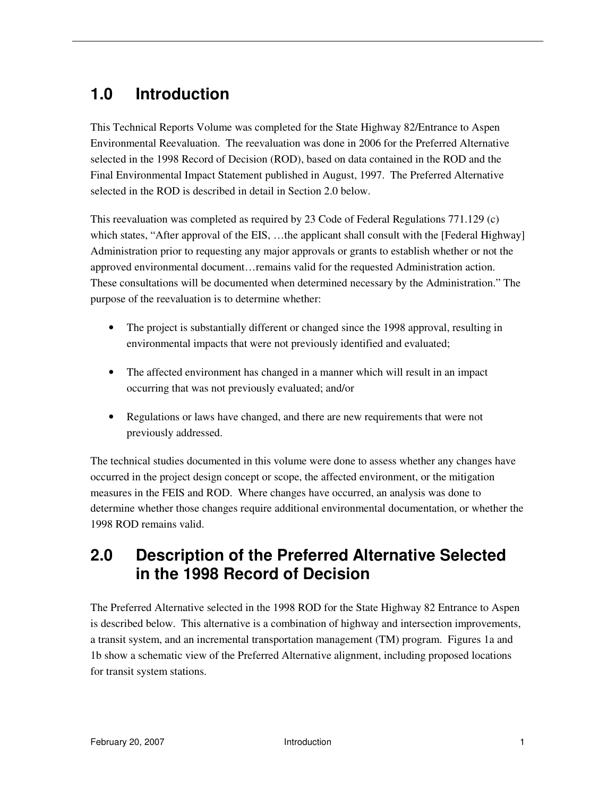# **1.0 Introduction**

This Technical Reports Volume was completed for the State Highway 82/Entrance to Aspen Environmental Reevaluation. The reevaluation was done in 2006 for the Preferred Alternative selected in the 1998 Record of Decision (ROD), based on data contained in the ROD and the Final Environmental Impact Statement published in August, 1997. The Preferred Alternative selected in the ROD is described in detail in Section 2.0 below.

This reevaluation was completed as required by 23 Code of Federal Regulations 771.129 (c) which states, "After approval of the EIS, ...the applicant shall consult with the [Federal Highway] Administration prior to requesting any major approvals or grants to establish whether or not the approved environmental document…remains valid for the requested Administration action. These consultations will be documented when determined necessary by the Administration." The purpose of the reevaluation is to determine whether:

- The project is substantially different or changed since the 1998 approval, resulting in environmental impacts that were not previously identified and evaluated;
- The affected environment has changed in a manner which will result in an impact occurring that was not previously evaluated; and/or
- Regulations or laws have changed, and there are new requirements that were not previously addressed.

The technical studies documented in this volume were done to assess whether any changes have occurred in the project design concept or scope, the affected environment, or the mitigation measures in the FEIS and ROD. Where changes have occurred, an analysis was done to determine whether those changes require additional environmental documentation, or whether the 1998 ROD remains valid.

## **2.0 Description of the Preferred Alternative Selected in the 1998 Record of Decision**

The Preferred Alternative selected in the 1998 ROD for the State Highway 82 Entrance to Aspen is described below. This alternative is a combination of highway and intersection improvements, a transit system, and an incremental transportation management (TM) program. Figures 1a and 1b show a schematic view of the Preferred Alternative alignment, including proposed locations for transit system stations.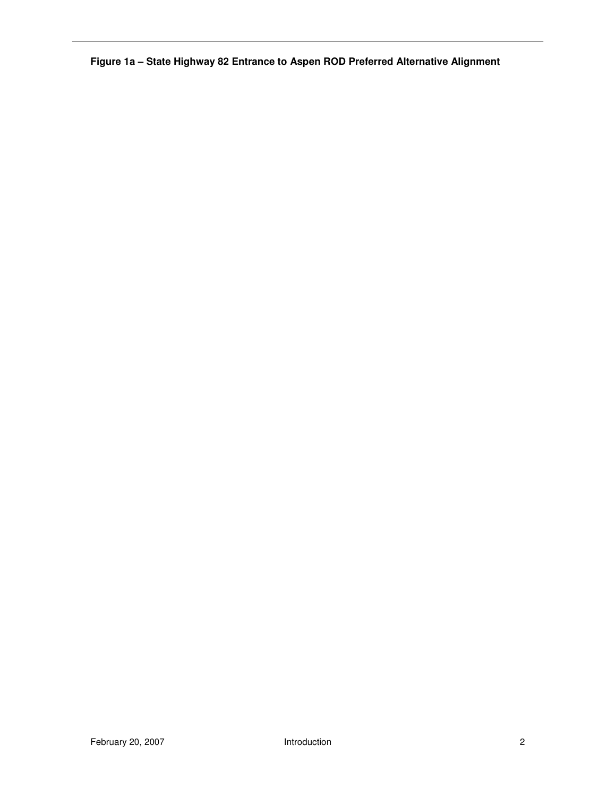**Figure 1a – State Highway 82 Entrance to Aspen ROD Preferred Alternative Alignment**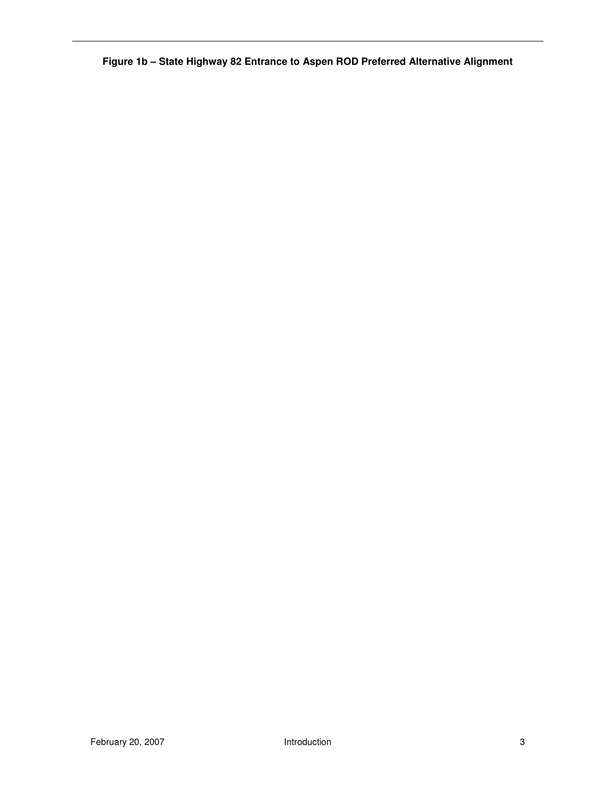**Figure 1b – State Highway 82 Entrance to Aspen ROD Preferred Alternative Alignment**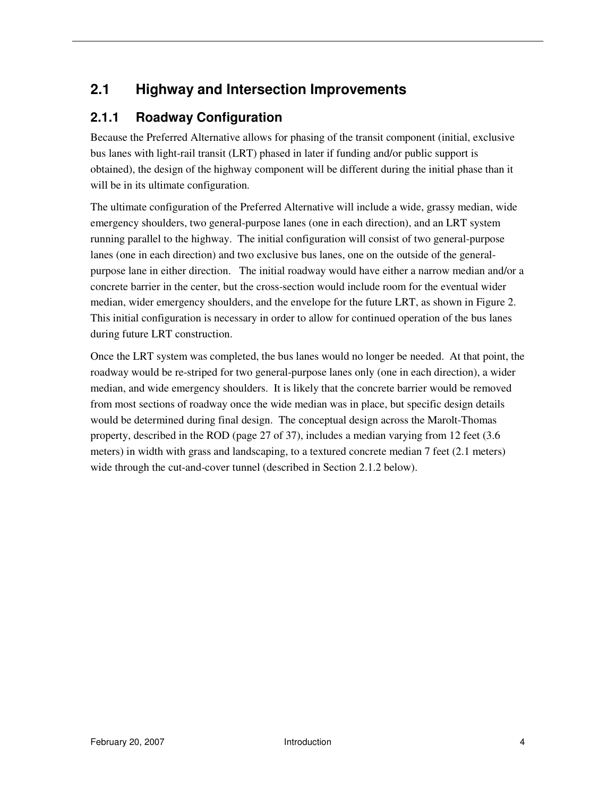### **2.1 Highway and Intersection Improvements**

#### **2.1.1 Roadway Configuration**

Because the Preferred Alternative allows for phasing of the transit component (initial, exclusive bus lanes with light-rail transit (LRT) phased in later if funding and/or public support is obtained), the design of the highway component will be different during the initial phase than it will be in its ultimate configuration.

The ultimate configuration of the Preferred Alternative will include a wide, grassy median, wide emergency shoulders, two general-purpose lanes (one in each direction), and an LRT system running parallel to the highway. The initial configuration will consist of two general-purpose lanes (one in each direction) and two exclusive bus lanes, one on the outside of the generalpurpose lane in either direction. The initial roadway would have either a narrow median and/or a concrete barrier in the center, but the cross-section would include room for the eventual wider median, wider emergency shoulders, and the envelope for the future LRT, as shown in Figure 2. This initial configuration is necessary in order to allow for continued operation of the bus lanes during future LRT construction.

Once the LRT system was completed, the bus lanes would no longer be needed. At that point, the roadway would be re-striped for two general-purpose lanes only (one in each direction), a wider median, and wide emergency shoulders. It is likely that the concrete barrier would be removed from most sections of roadway once the wide median was in place, but specific design details would be determined during final design. The conceptual design across the Marolt-Thomas property, described in the ROD (page 27 of 37), includes a median varying from 12 feet (3.6 meters) in width with grass and landscaping, to a textured concrete median 7 feet (2.1 meters) wide through the cut-and-cover tunnel (described in Section 2.1.2 below).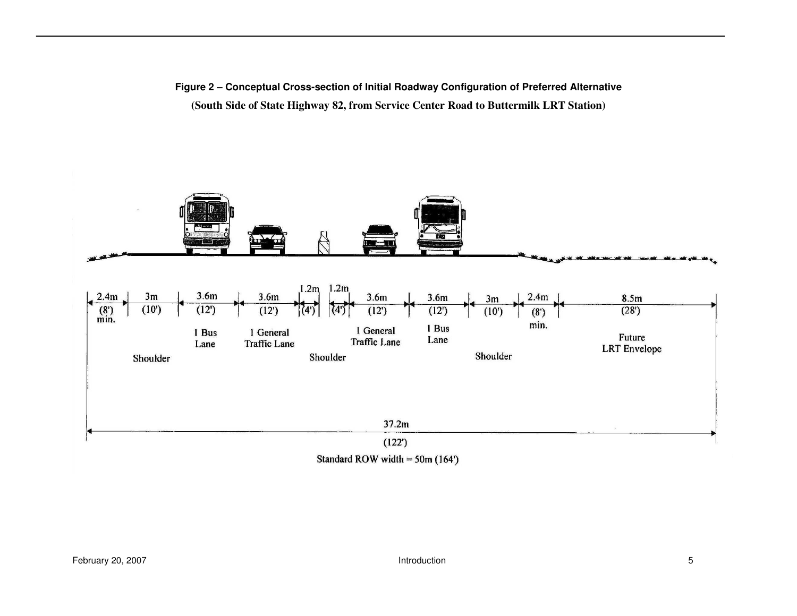**Figure 2 – Conceptual Cross-section of Initial Roadway Configuration of Preferred Alternative (South Side of State Highway 82, from Service Center Road to Buttermilk LRT Station)** 

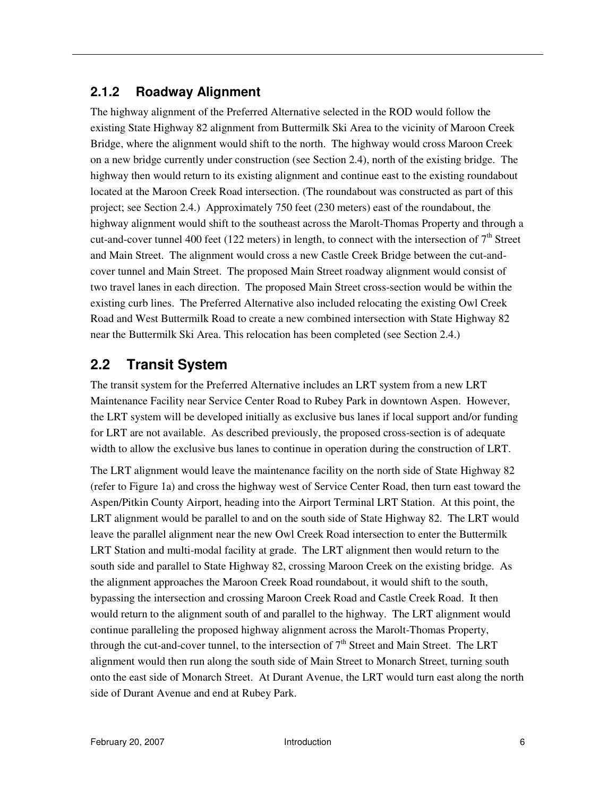#### **2.1.2 Roadway Alignment**

The highway alignment of the Preferred Alternative selected in the ROD would follow the existing State Highway 82 alignment from Buttermilk Ski Area to the vicinity of Maroon Creek Bridge, where the alignment would shift to the north. The highway would cross Maroon Creek on a new bridge currently under construction (see Section 2.4), north of the existing bridge. The highway then would return to its existing alignment and continue east to the existing roundabout located at the Maroon Creek Road intersection. (The roundabout was constructed as part of this project; see Section 2.4.) Approximately 750 feet (230 meters) east of the roundabout, the highway alignment would shift to the southeast across the Marolt-Thomas Property and through a cut-and-cover tunnel 400 feet (122 meters) in length, to connect with the intersection of  $7<sup>th</sup>$  Street and Main Street. The alignment would cross a new Castle Creek Bridge between the cut-andcover tunnel and Main Street. The proposed Main Street roadway alignment would consist of two travel lanes in each direction. The proposed Main Street cross-section would be within the existing curb lines. The Preferred Alternative also included relocating the existing Owl Creek Road and West Buttermilk Road to create a new combined intersection with State Highway 82 near the Buttermilk Ski Area. This relocation has been completed (see Section 2.4.)

### **2.2 Transit System**

The transit system for the Preferred Alternative includes an LRT system from a new LRT Maintenance Facility near Service Center Road to Rubey Park in downtown Aspen. However, the LRT system will be developed initially as exclusive bus lanes if local support and/or funding for LRT are not available. As described previously, the proposed cross-section is of adequate width to allow the exclusive bus lanes to continue in operation during the construction of LRT.

The LRT alignment would leave the maintenance facility on the north side of State Highway 82 (refer to Figure 1a) and cross the highway west of Service Center Road, then turn east toward the Aspen/Pitkin County Airport, heading into the Airport Terminal LRT Station. At this point, the LRT alignment would be parallel to and on the south side of State Highway 82. The LRT would leave the parallel alignment near the new Owl Creek Road intersection to enter the Buttermilk LRT Station and multi-modal facility at grade. The LRT alignment then would return to the south side and parallel to State Highway 82, crossing Maroon Creek on the existing bridge. As the alignment approaches the Maroon Creek Road roundabout, it would shift to the south, bypassing the intersection and crossing Maroon Creek Road and Castle Creek Road. It then would return to the alignment south of and parallel to the highway. The LRT alignment would continue paralleling the proposed highway alignment across the Marolt-Thomas Property, through the cut-and-cover tunnel, to the intersection of  $7<sup>th</sup>$  Street and Main Street. The LRT alignment would then run along the south side of Main Street to Monarch Street, turning south onto the east side of Monarch Street. At Durant Avenue, the LRT would turn east along the north side of Durant Avenue and end at Rubey Park.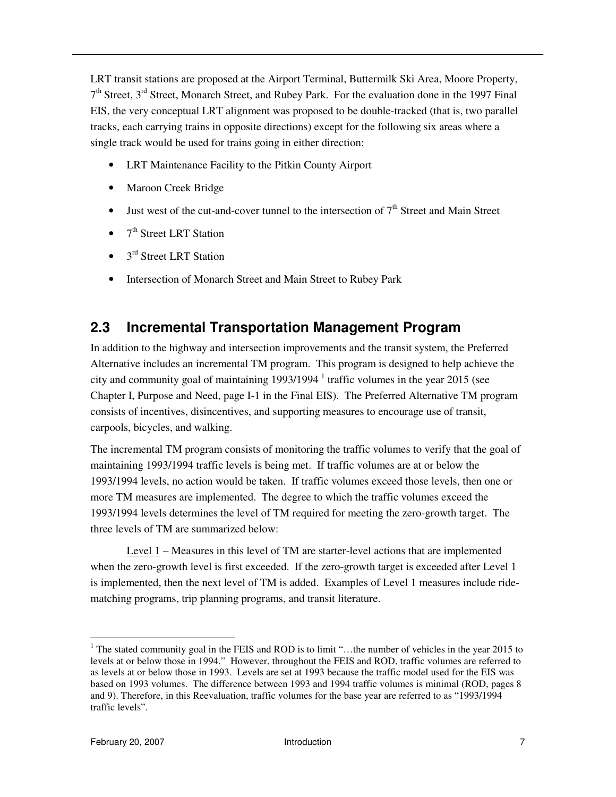LRT transit stations are proposed at the Airport Terminal, Buttermilk Ski Area, Moore Property, 7<sup>th</sup> Street, 3<sup>rd</sup> Street, Monarch Street, and Rubey Park. For the evaluation done in the 1997 Final EIS, the very conceptual LRT alignment was proposed to be double-tracked (that is, two parallel tracks, each carrying trains in opposite directions) except for the following six areas where a single track would be used for trains going in either direction:

- LRT Maintenance Facility to the Pitkin County Airport
- Maroon Creek Bridge
- Just west of the cut-and-cover tunnel to the intersection of  $7<sup>th</sup>$  Street and Main Street
- $\bullet$  7<sup>th</sup> Street LRT Station
- $\bullet$  3<sup>rd</sup> Street LRT Station
- Intersection of Monarch Street and Main Street to Rubey Park

#### **2.3 Incremental Transportation Management Program**

In addition to the highway and intersection improvements and the transit system, the Preferred Alternative includes an incremental TM program. This program is designed to help achieve the city and community goal of maintaining  $1993/1994$   $^1$  traffic volumes in the year 2015 (see Chapter I, Purpose and Need, page I-1 in the Final EIS). The Preferred Alternative TM program consists of incentives, disincentives, and supporting measures to encourage use of transit, carpools, bicycles, and walking.

The incremental TM program consists of monitoring the traffic volumes to verify that the goal of maintaining 1993/1994 traffic levels is being met. If traffic volumes are at or below the 1993/1994 levels, no action would be taken. If traffic volumes exceed those levels, then one or more TM measures are implemented. The degree to which the traffic volumes exceed the 1993/1994 levels determines the level of TM required for meeting the zero-growth target. The three levels of TM are summarized below:

 Level 1 – Measures in this level of TM are starter-level actions that are implemented when the zero-growth level is first exceeded. If the zero-growth target is exceeded after Level 1 is implemented, then the next level of TM is added. Examples of Level 1 measures include ridematching programs, trip planning programs, and transit literature.

l

<sup>&</sup>lt;sup>1</sup> The stated community goal in the FEIS and ROD is to limit "...the number of vehicles in the year 2015 to levels at or below those in 1994." However, throughout the FEIS and ROD, traffic volumes are referred to as levels at or below those in 1993. Levels are set at 1993 because the traffic model used for the EIS was based on 1993 volumes. The difference between 1993 and 1994 traffic volumes is minimal (ROD, pages 8 and 9). Therefore, in this Reevaluation, traffic volumes for the base year are referred to as "1993/1994 traffic levels".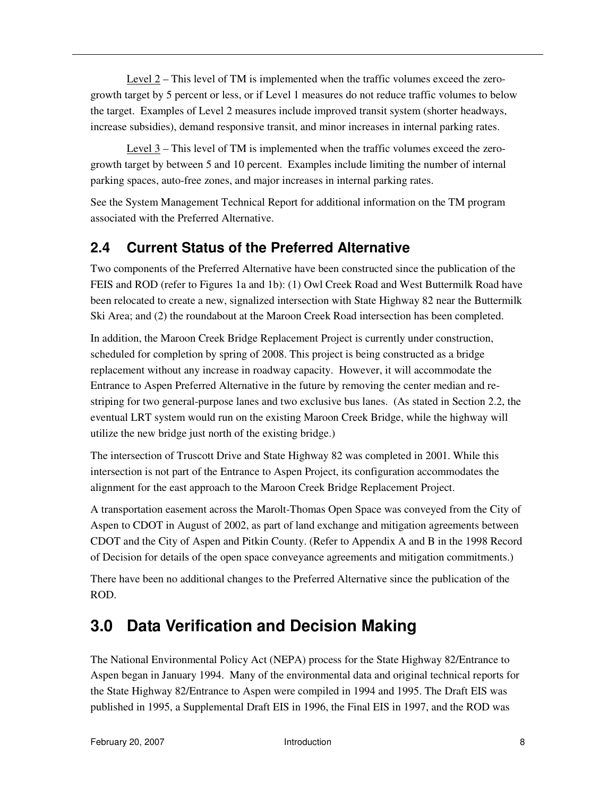Level 2 – This level of TM is implemented when the traffic volumes exceed the zerogrowth target by 5 percent or less, or if Level 1 measures do not reduce traffic volumes to below the target. Examples of Level 2 measures include improved transit system (shorter headways, increase subsidies), demand responsive transit, and minor increases in internal parking rates.

Level  $3$  – This level of TM is implemented when the traffic volumes exceed the zerogrowth target by between 5 and 10 percent. Examples include limiting the number of internal parking spaces, auto-free zones, and major increases in internal parking rates.

See the System Management Technical Report for additional information on the TM program associated with the Preferred Alternative.

### **2.4 Current Status of the Preferred Alternative**

Two components of the Preferred Alternative have been constructed since the publication of the FEIS and ROD (refer to Figures 1a and 1b): (1) Owl Creek Road and West Buttermilk Road have been relocated to create a new, signalized intersection with State Highway 82 near the Buttermilk Ski Area; and (2) the roundabout at the Maroon Creek Road intersection has been completed.

In addition, the Maroon Creek Bridge Replacement Project is currently under construction, scheduled for completion by spring of 2008. This project is being constructed as a bridge replacement without any increase in roadway capacity. However, it will accommodate the Entrance to Aspen Preferred Alternative in the future by removing the center median and restriping for two general-purpose lanes and two exclusive bus lanes. (As stated in Section 2.2, the eventual LRT system would run on the existing Maroon Creek Bridge, while the highway will utilize the new bridge just north of the existing bridge.)

The intersection of Truscott Drive and State Highway 82 was completed in 2001. While this intersection is not part of the Entrance to Aspen Project, its configuration accommodates the alignment for the east approach to the Maroon Creek Bridge Replacement Project.

A transportation easement across the Marolt-Thomas Open Space was conveyed from the City of Aspen to CDOT in August of 2002, as part of land exchange and mitigation agreements between CDOT and the City of Aspen and Pitkin County. (Refer to Appendix A and B in the 1998 Record of Decision for details of the open space conveyance agreements and mitigation commitments.)

There have been no additional changes to the Preferred Alternative since the publication of the ROD.

## **3.0 Data Verification and Decision Making**

The National Environmental Policy Act (NEPA) process for the State Highway 82/Entrance to Aspen began in January 1994. Many of the environmental data and original technical reports for the State Highway 82/Entrance to Aspen were compiled in 1994 and 1995. The Draft EIS was published in 1995, a Supplemental Draft EIS in 1996, the Final EIS in 1997, and the ROD was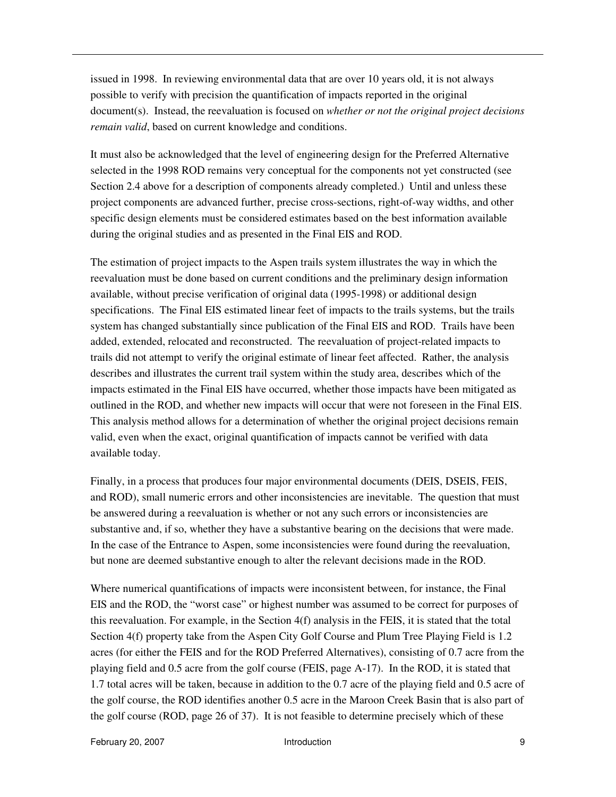issued in 1998. In reviewing environmental data that are over 10 years old, it is not always possible to verify with precision the quantification of impacts reported in the original document(s). Instead, the reevaluation is focused on *whether or not the original project decisions remain valid*, based on current knowledge and conditions.

It must also be acknowledged that the level of engineering design for the Preferred Alternative selected in the 1998 ROD remains very conceptual for the components not yet constructed (see Section 2.4 above for a description of components already completed.) Until and unless these project components are advanced further, precise cross-sections, right-of-way widths, and other specific design elements must be considered estimates based on the best information available during the original studies and as presented in the Final EIS and ROD.

The estimation of project impacts to the Aspen trails system illustrates the way in which the reevaluation must be done based on current conditions and the preliminary design information available, without precise verification of original data (1995-1998) or additional design specifications. The Final EIS estimated linear feet of impacts to the trails systems, but the trails system has changed substantially since publication of the Final EIS and ROD. Trails have been added, extended, relocated and reconstructed. The reevaluation of project-related impacts to trails did not attempt to verify the original estimate of linear feet affected. Rather, the analysis describes and illustrates the current trail system within the study area, describes which of the impacts estimated in the Final EIS have occurred, whether those impacts have been mitigated as outlined in the ROD, and whether new impacts will occur that were not foreseen in the Final EIS. This analysis method allows for a determination of whether the original project decisions remain valid, even when the exact, original quantification of impacts cannot be verified with data available today.

Finally, in a process that produces four major environmental documents (DEIS, DSEIS, FEIS, and ROD), small numeric errors and other inconsistencies are inevitable. The question that must be answered during a reevaluation is whether or not any such errors or inconsistencies are substantive and, if so, whether they have a substantive bearing on the decisions that were made. In the case of the Entrance to Aspen, some inconsistencies were found during the reevaluation, but none are deemed substantive enough to alter the relevant decisions made in the ROD.

Where numerical quantifications of impacts were inconsistent between, for instance, the Final EIS and the ROD, the "worst case" or highest number was assumed to be correct for purposes of this reevaluation. For example, in the Section  $4(f)$  analysis in the FEIS, it is stated that the total Section 4(f) property take from the Aspen City Golf Course and Plum Tree Playing Field is 1.2 acres (for either the FEIS and for the ROD Preferred Alternatives), consisting of 0.7 acre from the playing field and 0.5 acre from the golf course (FEIS, page A-17). In the ROD, it is stated that 1.7 total acres will be taken, because in addition to the 0.7 acre of the playing field and 0.5 acre of the golf course, the ROD identifies another 0.5 acre in the Maroon Creek Basin that is also part of the golf course (ROD, page 26 of 37). It is not feasible to determine precisely which of these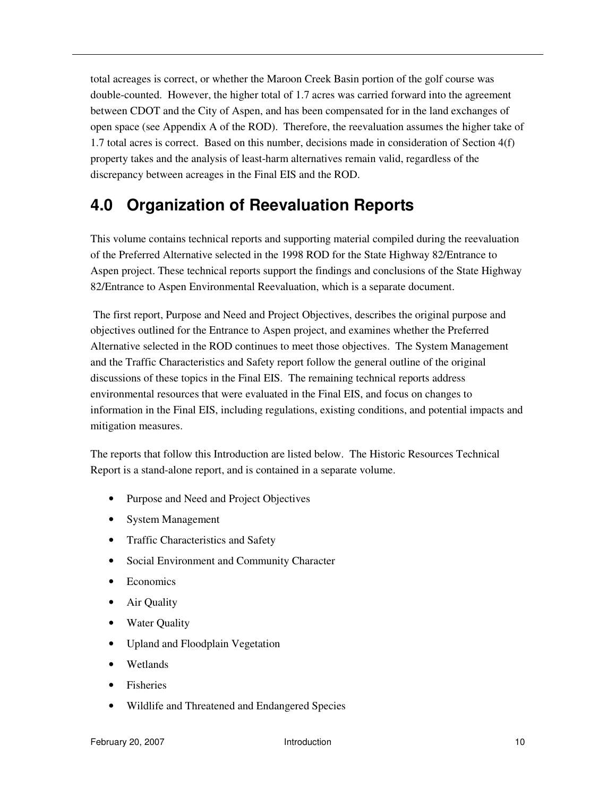total acreages is correct, or whether the Maroon Creek Basin portion of the golf course was double-counted. However, the higher total of 1.7 acres was carried forward into the agreement between CDOT and the City of Aspen, and has been compensated for in the land exchanges of open space (see Appendix A of the ROD). Therefore, the reevaluation assumes the higher take of 1.7 total acres is correct. Based on this number, decisions made in consideration of Section 4(f) property takes and the analysis of least-harm alternatives remain valid, regardless of the discrepancy between acreages in the Final EIS and the ROD.

## **4.0 Organization of Reevaluation Reports**

This volume contains technical reports and supporting material compiled during the reevaluation of the Preferred Alternative selected in the 1998 ROD for the State Highway 82/Entrance to Aspen project. These technical reports support the findings and conclusions of the State Highway 82/Entrance to Aspen Environmental Reevaluation, which is a separate document.

 The first report, Purpose and Need and Project Objectives, describes the original purpose and objectives outlined for the Entrance to Aspen project, and examines whether the Preferred Alternative selected in the ROD continues to meet those objectives. The System Management and the Traffic Characteristics and Safety report follow the general outline of the original discussions of these topics in the Final EIS. The remaining technical reports address environmental resources that were evaluated in the Final EIS, and focus on changes to information in the Final EIS, including regulations, existing conditions, and potential impacts and mitigation measures.

The reports that follow this Introduction are listed below. The Historic Resources Technical Report is a stand-alone report, and is contained in a separate volume.

- Purpose and Need and Project Objectives
- System Management
- Traffic Characteristics and Safety
- Social Environment and Community Character
- Economics
- Air Quality
- Water Ouality
- Upland and Floodplain Vegetation
- Wetlands
- Fisheries
- Wildlife and Threatened and Endangered Species